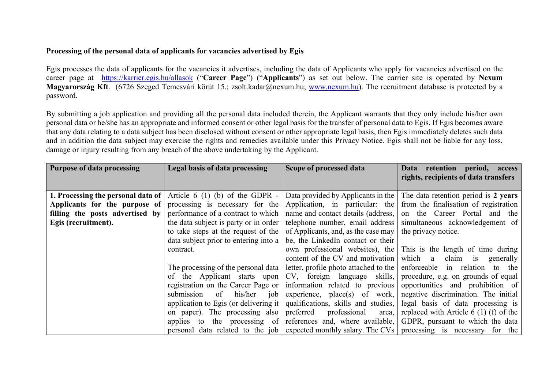## Processing of the personal data of applicants for vacancies advertised by Egis

Egis processes the data of applicants for the vacancies it advertises, including the data of Applicants who apply for vacancies advertised on the career page at https://karrier.egis.hu/allasok ("Career Page") ("Applicants") as set out below. The carrier site is operated by Nexum Magyarország Kft. (6726 Szeged Temesvári körút 15.; zsolt.kadar@nexum.hu; www.nexum.hu). The recruitment database is protected by a password.

By submitting a job application and providing all the personal data included therein, the Applicant warrants that they only include his/her own personal data or he/she has an appropriate and informed consent or other legal basis for the transfer of personal data to Egis. If Egis becomes aware that any data relating to a data subject has been disclosed without consent or other appropriate legal basis, then Egis immediately deletes such data and in addition the data subject may exercise the rights and remedies available under this Privacy Notice. Egis shall not be liable for any loss, damage or injury resulting from any breach of the above undertaking by the Applicant.

| <b>Purpose of data processing</b>  | Legal basis of data processing                | Scope of processed data               | retention<br>period, access<br><b>Data</b><br>rights, recipients of data transfers                |
|------------------------------------|-----------------------------------------------|---------------------------------------|---------------------------------------------------------------------------------------------------|
| 1. Processing the personal data of | Article $6(1)(b)$ of the GDPR -               | Data provided by Applicants in the    | The data retention period is 2 years                                                              |
| Applicants for the purpose of      | processing is necessary for the               | Application, in particular: the       | from the finalisation of registration                                                             |
| filling the posts advertised by    | performance of a contract to which            | name and contact details (address,    | on the Career Portal and the                                                                      |
| Egis (recruitment).                | the data subject is party or in order         | telephone number, email address       | simultaneous acknowledgement of                                                                   |
|                                    | to take steps at the request of the           | of Applicants, and, as the case may   | the privacy notice.                                                                               |
|                                    | data subject prior to entering into a         | be, the LinkedIn contact or their     |                                                                                                   |
|                                    | contract.                                     | own professional websites), the       | This is the length of time during                                                                 |
|                                    |                                               | content of the CV and motivation      | which a claim is<br>generally                                                                     |
|                                    | The processing of the personal data           | letter, profile photo attached to the | enforceable in relation to the                                                                    |
|                                    | of the Applicant starts upon                  | CV, foreign language skills,          | procedure, e.g. on grounds of equal                                                               |
|                                    | registration on the Career Page or            | information related to previous       | opportunities and prohibition of                                                                  |
|                                    | his/her<br>of<br>submission<br>job            | experience, $place(s)$ of work,       | negative discrimination. The initial                                                              |
|                                    | application to Egis (or delivering it $\vert$ | qualifications, skills and studies,   | legal basis of data processing is                                                                 |
|                                    | on paper). The processing also                | preferred<br>professional<br>area,    | replaced with Article $6(1)$ (f) of the                                                           |
|                                    | applies to the processing of                  | references and, where available,      | GDPR, pursuant to which the data                                                                  |
|                                    |                                               |                                       | personal data related to the job expected monthly salary. The CVs processing is necessary for the |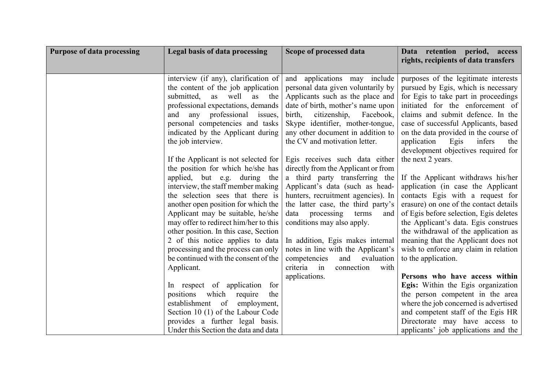| <b>Purpose of data processing</b> | <b>Legal basis of data processing</b>                                      | Scope of processed data                                          | Data retention period, access<br>rights, recipients of data transfers          |
|-----------------------------------|----------------------------------------------------------------------------|------------------------------------------------------------------|--------------------------------------------------------------------------------|
|                                   |                                                                            |                                                                  |                                                                                |
|                                   | interview (if any), clarification of                                       | and applications may include                                     | purposes of the legitimate interests                                           |
|                                   | the content of the job application                                         | personal data given voluntarily by                               | pursued by Egis, which is necessary                                            |
|                                   | submitted,<br>as<br>as<br>well<br>the                                      | Applicants such as the place and                                 | for Egis to take part in proceedings                                           |
|                                   | professional expectations, demands                                         | date of birth, mother's name upon                                | initiated for the enforcement of                                               |
|                                   | professional issues,<br>and<br>any                                         | birth,<br>citizenship,<br>Facebook,                              | claims and submit defence. In the                                              |
|                                   | personal competencies and tasks                                            | Skype identifier, mother-tongue,                                 | case of successful Applicants, based                                           |
|                                   | indicated by the Applicant during                                          | any other document in addition to                                | on the data provided in the course of                                          |
|                                   | the job interview.                                                         | the CV and motivation letter.                                    | application<br>Egis<br>infers<br>the                                           |
|                                   |                                                                            |                                                                  | development objectives required for                                            |
|                                   | If the Applicant is not selected for                                       | Egis receives such data either                                   | the next 2 years.                                                              |
|                                   | the position for which he/she has                                          | directly from the Applicant or from                              |                                                                                |
|                                   | applied, but e.g. during the                                               | a third party transferring the                                   | If the Applicant withdraws his/her                                             |
|                                   | interview, the staff member making                                         | Applicant's data (such as head-                                  | application (in case the Applicant                                             |
|                                   | the selection sees that there is                                           | hunters, recruitment agencies). In                               | contacts Egis with a request for                                               |
|                                   | another open position for which the                                        | the latter case, the third party's                               | erasure) on one of the contact details                                         |
|                                   | Applicant may be suitable, he/she<br>may offer to redirect him/her to this | processing<br>terms<br>data<br>and<br>conditions may also apply. | of Egis before selection, Egis deletes<br>the Applicant's data. Egis construes |
|                                   | other position. In this case, Section                                      |                                                                  | the withdrawal of the application as                                           |
|                                   | 2 of this notice applies to data                                           | In addition, Egis makes internal                                 | meaning that the Applicant does not                                            |
|                                   | processing and the process can only                                        | notes in line with the Applicant's                               | wish to enforce any claim in relation                                          |
|                                   | be continued with the consent of the                                       | and<br>evaluation<br>competencies                                | to the application.                                                            |
|                                   | Applicant.                                                                 | criteria in<br>connection<br>with                                |                                                                                |
|                                   |                                                                            | applications.                                                    | Persons who have access within                                                 |
|                                   | In respect of application<br>for                                           |                                                                  | Egis: Within the Egis organization                                             |
|                                   | which<br>positions<br>require<br>the                                       |                                                                  | the person competent in the area                                               |
|                                   | of<br>establishment<br>employment,                                         |                                                                  | where the job concerned is advertised                                          |
|                                   | Section 10 (1) of the Labour Code                                          |                                                                  | and competent staff of the Egis HR                                             |
|                                   | provides a further legal basis.                                            |                                                                  | Directorate may have access to                                                 |
|                                   | Under this Section the data and data                                       |                                                                  | applicants' job applications and the                                           |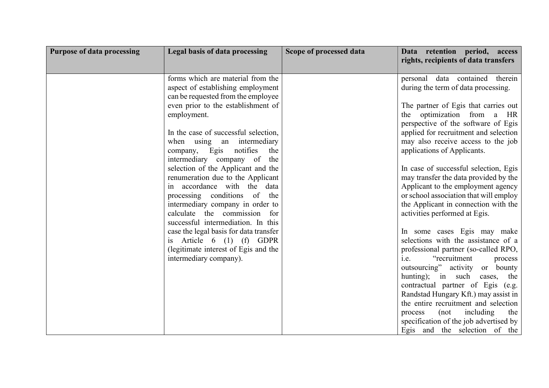| <b>Purpose of data processing</b> | Legal basis of data processing                                                                                                                                                                                                                                                                                                                                                                                                                       | Scope of processed data | Data retention period, access<br>rights, recipients of data transfers                                                                                                                                                                                                                                                                                                                                                                                                                                                            |
|-----------------------------------|------------------------------------------------------------------------------------------------------------------------------------------------------------------------------------------------------------------------------------------------------------------------------------------------------------------------------------------------------------------------------------------------------------------------------------------------------|-------------------------|----------------------------------------------------------------------------------------------------------------------------------------------------------------------------------------------------------------------------------------------------------------------------------------------------------------------------------------------------------------------------------------------------------------------------------------------------------------------------------------------------------------------------------|
|                                   | forms which are material from the<br>aspect of establishing employment<br>can be requested from the employee<br>even prior to the establishment of<br>employment.<br>In the case of successful selection,<br>when using an intermediary<br>company, Egis notifies<br>the<br>intermediary company of<br>the<br>selection of the Applicant and the<br>renumeration due to the Applicant<br>in accordance with the data<br>processing conditions of the |                         | personal data contained therein<br>during the term of data processing.<br>The partner of Egis that carries out<br>the optimization from a HR<br>perspective of the software of Egis<br>applied for recruitment and selection<br>may also receive access to the job<br>applications of Applicants.<br>In case of successful selection, Egis<br>may transfer the data provided by the<br>Applicant to the employment agency<br>or school association that will employ                                                              |
|                                   | intermediary company in order to<br>calculate the commission for<br>successful intermediation. In this<br>case the legal basis for data transfer<br>is Article $6(1)$ (f) GDPR<br>(legitimate interest of Egis and the<br>intermediary company).                                                                                                                                                                                                     |                         | the Applicant in connection with the<br>activities performed at Egis.<br>In some cases Egis may make<br>selections with the assistance of a<br>professional partner (so-called RPO,<br>i.e.<br>"recruitment<br>process<br>outsourcing" activity or bounty<br>hunting); in such cases, the<br>contractual partner of Egis (e.g.<br>Randstad Hungary Kft.) may assist in<br>the entire recruitment and selection<br>(not<br>including<br>process<br>the<br>specification of the job advertised by<br>Egis and the selection of the |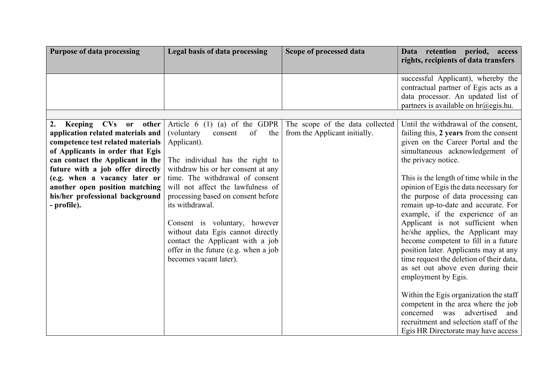| <b>Purpose of data processing</b>                                                                                                                                                                                                                                                                                                                            | <b>Legal basis of data processing</b>                                                                                                                                                                                                                                                                                                                                | Scope of processed data                                          | Data retention period, access<br>rights, recipients of data transfers                                                                                                                                                                                                                                                                                                                                                                                                                                                                                                                                                         |
|--------------------------------------------------------------------------------------------------------------------------------------------------------------------------------------------------------------------------------------------------------------------------------------------------------------------------------------------------------------|----------------------------------------------------------------------------------------------------------------------------------------------------------------------------------------------------------------------------------------------------------------------------------------------------------------------------------------------------------------------|------------------------------------------------------------------|-------------------------------------------------------------------------------------------------------------------------------------------------------------------------------------------------------------------------------------------------------------------------------------------------------------------------------------------------------------------------------------------------------------------------------------------------------------------------------------------------------------------------------------------------------------------------------------------------------------------------------|
| CVs<br>2.<br><b>Keeping</b><br>other<br><b>or</b><br>application related materials and<br>competence test related materials<br>of Applicants in order that Egis<br>can contact the Applicant in the<br>future with a job offer directly<br>(e.g. when a vacancy later or<br>another open position matching<br>his/her professional background<br>- profile). | Article 6 $(1)$ (a) of the GDPR<br>(voluntary<br>of<br>the<br>consent<br>Applicant).<br>The individual has the right to<br>withdraw his or her consent at any<br>time. The withdrawal of consent<br>will not affect the lawfulness of<br>processing based on consent before<br>its withdrawal.<br>Consent is voluntary, however<br>without data Egis cannot directly | The scope of the data collected<br>from the Applicant initially. | successful Applicant), whereby the<br>contractual partner of Egis acts as a<br>data processor. An updated list of<br>partners is available on $hr@egis.hu$ .<br>Until the withdrawal of the consent,<br>failing this, 2 years from the consent<br>given on the Career Portal and the<br>simultaneous acknowledgement of<br>the privacy notice.<br>This is the length of time while in the<br>opinion of Egis the data necessary for<br>the purpose of data processing can<br>remain up-to-date and accurate. For<br>example, if the experience of an<br>Applicant is not sufficient when<br>he/she applies, the Applicant may |
|                                                                                                                                                                                                                                                                                                                                                              | contact the Applicant with a job<br>offer in the future (e.g. when a job<br>becomes vacant later).                                                                                                                                                                                                                                                                   |                                                                  | become competent to fill in a future<br>position later. Applicants may at any<br>time request the deletion of their data,<br>as set out above even during their<br>employment by Egis.<br>Within the Egis organization the staff<br>competent in the area where the job                                                                                                                                                                                                                                                                                                                                                       |
|                                                                                                                                                                                                                                                                                                                                                              |                                                                                                                                                                                                                                                                                                                                                                      |                                                                  | concerned was advertised<br>and<br>recruitment and selection staff of the<br>Egis HR Directorate may have access                                                                                                                                                                                                                                                                                                                                                                                                                                                                                                              |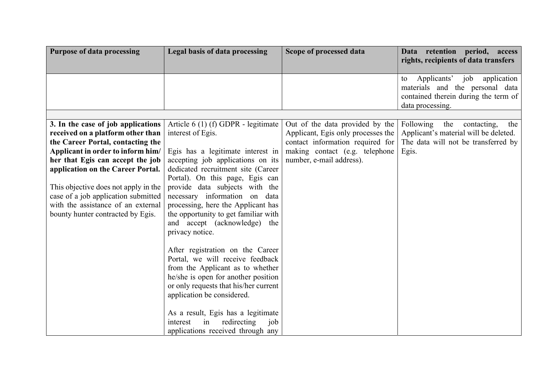| <b>Purpose of data processing</b>                                                                                                                                                                                                                                                                                                                                                    | Legal basis of data processing                                                                                                                                                                                                                                                                                                                                                                                                                                                                                                                                                                                                            | Scope of processed data                                                                                                                                                 | Data retention period, access<br>rights, recipients of data transfers                                                               |
|--------------------------------------------------------------------------------------------------------------------------------------------------------------------------------------------------------------------------------------------------------------------------------------------------------------------------------------------------------------------------------------|-------------------------------------------------------------------------------------------------------------------------------------------------------------------------------------------------------------------------------------------------------------------------------------------------------------------------------------------------------------------------------------------------------------------------------------------------------------------------------------------------------------------------------------------------------------------------------------------------------------------------------------------|-------------------------------------------------------------------------------------------------------------------------------------------------------------------------|-------------------------------------------------------------------------------------------------------------------------------------|
|                                                                                                                                                                                                                                                                                                                                                                                      |                                                                                                                                                                                                                                                                                                                                                                                                                                                                                                                                                                                                                                           |                                                                                                                                                                         | Applicants' job<br>application<br>to<br>materials and the personal data<br>contained therein during the term of<br>data processing. |
|                                                                                                                                                                                                                                                                                                                                                                                      |                                                                                                                                                                                                                                                                                                                                                                                                                                                                                                                                                                                                                                           |                                                                                                                                                                         |                                                                                                                                     |
| 3. In the case of job applications<br>received on a platform other than<br>the Career Portal, contacting the<br>Applicant in order to inform him/<br>her that Egis can accept the job<br>application on the Career Portal.<br>This objective does not apply in the<br>case of a job application submitted<br>with the assistance of an external<br>bounty hunter contracted by Egis. | Article 6 (1) (f) GDPR - legitimate<br>interest of Egis.<br>Egis has a legitimate interest in<br>accepting job applications on its<br>dedicated recruitment site (Career<br>Portal). On this page, Egis can<br>provide data subjects with the<br>necessary information on data<br>processing, here the Applicant has<br>the opportunity to get familiar with<br>and accept (acknowledge) the<br>privacy notice.<br>After registration on the Career<br>Portal, we will receive feedback<br>from the Applicant as to whether<br>he/she is open for another position<br>or only requests that his/her current<br>application be considered. | Out of the data provided by the<br>Applicant, Egis only processes the<br>contact information required for<br>making contact (e.g. telephone<br>number, e-mail address). | Following<br>the<br>contacting,<br>the<br>Applicant's material will be deleted.<br>The data will not be transferred by<br>Egis.     |
|                                                                                                                                                                                                                                                                                                                                                                                      | As a result, Egis has a legitimate<br>redirecting<br>job<br>interest<br>in<br>applications received through any                                                                                                                                                                                                                                                                                                                                                                                                                                                                                                                           |                                                                                                                                                                         |                                                                                                                                     |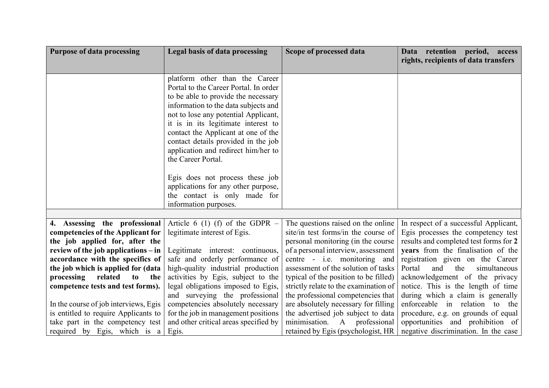| Purpose of data processing                                          | <b>Legal basis of data processing</b>                             | Scope of processed data               | Data retention<br>period, access<br>rights, recipients of data transfers     |
|---------------------------------------------------------------------|-------------------------------------------------------------------|---------------------------------------|------------------------------------------------------------------------------|
|                                                                     |                                                                   |                                       |                                                                              |
|                                                                     | platform other than the Career                                    |                                       |                                                                              |
|                                                                     | Portal to the Career Portal. In order                             |                                       |                                                                              |
|                                                                     | to be able to provide the necessary                               |                                       |                                                                              |
|                                                                     | information to the data subjects and                              |                                       |                                                                              |
|                                                                     | not to lose any potential Applicant,                              |                                       |                                                                              |
|                                                                     | it is in its legitimate interest to                               |                                       |                                                                              |
|                                                                     | contact the Applicant at one of the                               |                                       |                                                                              |
|                                                                     | contact details provided in the job                               |                                       |                                                                              |
|                                                                     | application and redirect him/her to                               |                                       |                                                                              |
|                                                                     | the Career Portal.                                                |                                       |                                                                              |
|                                                                     |                                                                   |                                       |                                                                              |
|                                                                     | Egis does not process these job                                   |                                       |                                                                              |
|                                                                     | applications for any other purpose,                               |                                       |                                                                              |
|                                                                     | the contact is only made for                                      |                                       |                                                                              |
|                                                                     | information purposes.                                             |                                       |                                                                              |
| 4. Assessing the professional                                       |                                                                   | The questions raised on the online    |                                                                              |
|                                                                     | Article 6 (1) (f) of the GDPR $-$<br>legitimate interest of Egis. | site/in test forms/in the course of   | In respect of a successful Applicant,                                        |
| competencies of the Applicant for<br>the job applied for, after the |                                                                   | personal monitoring (in the course    | Egis processes the competency test<br>results and completed test forms for 2 |
| review of the job applications $-\text{in}$                         | Legitimate interest: continuous,                                  | of a personal interview, assessment   | years from the finalisation of the                                           |
| accordance with the specifics of                                    | safe and orderly performance of                                   | centre - <i>i.e.</i> monitoring and   | registration given on the Career                                             |
| the job which is applied for (data                                  | high-quality industrial production                                | assessment of the solution of tasks   | Portal<br>and<br>the<br>simultaneous                                         |
| related<br>processing<br>to<br>the                                  | activities by Egis, subject to the                                | typical of the position to be filled) | acknowledgement of the privacy                                               |
| competence tests and test forms).                                   | legal obligations imposed to Egis,                                | strictly relate to the examination of | notice. This is the length of time                                           |
|                                                                     | and surveying the professional                                    | the professional competencies that    | during which a claim is generally                                            |
| In the course of job interviews, Egis                               | competencies absolutely necessary                                 | are absolutely necessary for filling  | enforceable in relation to the                                               |
| is entitled to require Applicants to                                | for the job in management positions                               | the advertised job subject to data    | procedure, e.g. on grounds of equal                                          |
| take part in the competency test                                    | and other critical areas specified by                             | minimisation. A professional          | opportunities and prohibition of                                             |
| required by Egis, which is a                                        | Egis.                                                             | retained by Egis (psychologist, HR    | negative discrimination. In the case                                         |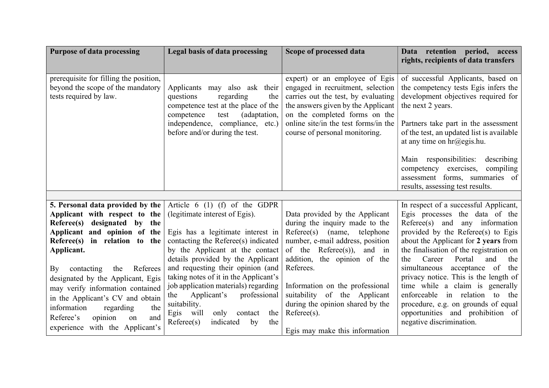| <b>Purpose of data processing</b>                                                                                                                                                                                                                                                                                                                                       | Legal basis of data processing                                                                                                                                                                                                                                                                                                                                                                   | Scope of processed data                                                                                                                                                                                                                                                                                                          | Data retention<br>period, access<br>rights, recipients of data transfers                                                                                                                                                                                                                                                                                                                                                                                                           |
|-------------------------------------------------------------------------------------------------------------------------------------------------------------------------------------------------------------------------------------------------------------------------------------------------------------------------------------------------------------------------|--------------------------------------------------------------------------------------------------------------------------------------------------------------------------------------------------------------------------------------------------------------------------------------------------------------------------------------------------------------------------------------------------|----------------------------------------------------------------------------------------------------------------------------------------------------------------------------------------------------------------------------------------------------------------------------------------------------------------------------------|------------------------------------------------------------------------------------------------------------------------------------------------------------------------------------------------------------------------------------------------------------------------------------------------------------------------------------------------------------------------------------------------------------------------------------------------------------------------------------|
| prerequisite for filling the position,<br>beyond the scope of the mandatory<br>tests required by law.                                                                                                                                                                                                                                                                   | Applicants may also ask their<br>questions<br>regarding<br>the<br>competence test at the place of the<br>test<br>(adaptation,<br>competence<br>independence, compliance, etc.)<br>before and/or during the test.                                                                                                                                                                                 | expert) or an employee of Egis<br>engaged in recruitment, selection<br>carries out the test, by evaluating<br>the answers given by the Applicant<br>on the completed forms on the<br>online site/in the test forms/in the<br>course of personal monitoring.                                                                      | of successful Applicants, based on<br>the competency tests Egis infers the<br>development objectives required for<br>the next 2 years.<br>Partners take part in the assessment<br>of the test, an updated list is available<br>at any time on $\text{hr@egis.hu.}$                                                                                                                                                                                                                 |
|                                                                                                                                                                                                                                                                                                                                                                         |                                                                                                                                                                                                                                                                                                                                                                                                  |                                                                                                                                                                                                                                                                                                                                  | Main responsibilities:<br>describing<br>competency exercises,<br>compiling<br>assessment forms, summaries of<br>results, assessing test results.                                                                                                                                                                                                                                                                                                                                   |
| 5. Personal data provided by the<br>Applicant with respect to the<br>Referee(s) designated by the<br>Applicant and opinion of the<br>Referee(s) in relation to the<br>Applicant.<br>contacting<br>the<br>Referees<br>By<br>designated by the Applicant, Egis<br>may verify information contained<br>in the Applicant's CV and obtain<br>information<br>regarding<br>the | Article $6(1)$ (f) of the GDPR<br>(legitimate interest of Egis).<br>Egis has a legitimate interest in<br>contacting the Referee(s) indicated<br>by the Applicant at the contact<br>details provided by the Applicant<br>and requesting their opinion (and<br>taking notes of it in the Applicant's<br>job application materials) regarding<br>Applicant's<br>professional<br>the<br>suitability. | Data provided by the Applicant<br>during the inquiry made to the<br>Reference(s)<br>(name,<br>telephone<br>number, e-mail address, position<br>of the Referee(s)),<br>and in<br>addition, the opinion of the<br>Referees.<br>Information on the professional<br>suitability of the Applicant<br>during the opinion shared by the | In respect of a successful Applicant,<br>Egis processes the data of the<br>$Reference(s)$ and<br>any information<br>provided by the Referee(s) to Egis<br>about the Applicant for 2 years from<br>the finalisation of the registration on<br>Career<br>and<br>Portal<br>the<br>the<br>simultaneous<br>acceptance of<br>the<br>privacy notice. This is the length of<br>time while a claim is generally<br>enforceable in relation to<br>the<br>procedure, e.g. on grounds of equal |
| opinion<br>Referee's<br>and<br>on<br>experience with the Applicant's                                                                                                                                                                                                                                                                                                    | Egis will<br>only<br>the<br>contact<br>Reference(s)<br>indicated<br>by<br>the                                                                                                                                                                                                                                                                                                                    | $Reference(s)$ .<br>Egis may make this information                                                                                                                                                                                                                                                                               | opportunities and prohibition of<br>negative discrimination.                                                                                                                                                                                                                                                                                                                                                                                                                       |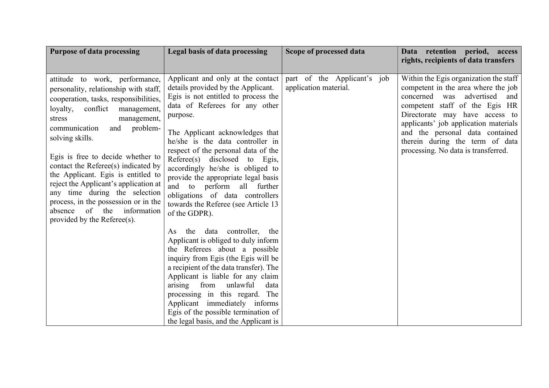| <b>Purpose of data processing</b>                                                                                                                                                                                                                                                                                                                                                                                                                                                                                                           | Legal basis of data processing                                                                                                                                                                                                                                                                                                                                                                                                                                                                                  | Scope of processed data                              | Data retention period, access<br>rights, recipients of data transfers                                                                                                                                                                                                                                                                            |
|---------------------------------------------------------------------------------------------------------------------------------------------------------------------------------------------------------------------------------------------------------------------------------------------------------------------------------------------------------------------------------------------------------------------------------------------------------------------------------------------------------------------------------------------|-----------------------------------------------------------------------------------------------------------------------------------------------------------------------------------------------------------------------------------------------------------------------------------------------------------------------------------------------------------------------------------------------------------------------------------------------------------------------------------------------------------------|------------------------------------------------------|--------------------------------------------------------------------------------------------------------------------------------------------------------------------------------------------------------------------------------------------------------------------------------------------------------------------------------------------------|
| attitude to work, performance,<br>personality, relationship with staff,<br>cooperation, tasks, responsibilities,<br>conflict management,<br>loyalty,<br>management,<br>stress<br>problem-<br>communication<br>and<br>solving skills.<br>Egis is free to decide whether to<br>contact the Referee(s) indicated by<br>the Applicant. Egis is entitled to<br>reject the Applicant's application at<br>any time during the selection<br>process, in the possession or in the<br>of the<br>information<br>absence<br>provided by the Referee(s). | Applicant and only at the contact<br>details provided by the Applicant.<br>Egis is not entitled to process the<br>data of Referees for any other<br>purpose.<br>The Applicant acknowledges that<br>he/she is the data controller in<br>respect of the personal data of the<br>Referee(s) disclosed to Egis,<br>accordingly he/she is obliged to<br>provide the appropriate legal basis<br>and to perform all further<br>obligations of data controllers<br>towards the Referee (see Article 13<br>of the GDPR). | part of the Applicant's job<br>application material. | Within the Egis organization the staff<br>competent in the area where the job<br>advertised<br>concerned<br>was<br>and<br>competent staff of the Egis HR<br>Directorate may have access to<br>applicants' job application materials<br>and the personal data contained<br>therein during the term of data<br>processing. No data is transferred. |
|                                                                                                                                                                                                                                                                                                                                                                                                                                                                                                                                             | the data controller,<br>the<br>As<br>Applicant is obliged to duly inform<br>the Referees about a possible<br>inquiry from Egis (the Egis will be<br>a recipient of the data transfer). The<br>Applicant is liable for any claim<br>arising from<br>unlawful<br>data<br>processing in this regard. The<br>Applicant immediately informs<br>Egis of the possible termination of<br>the legal basis, and the Applicant is                                                                                          |                                                      |                                                                                                                                                                                                                                                                                                                                                  |